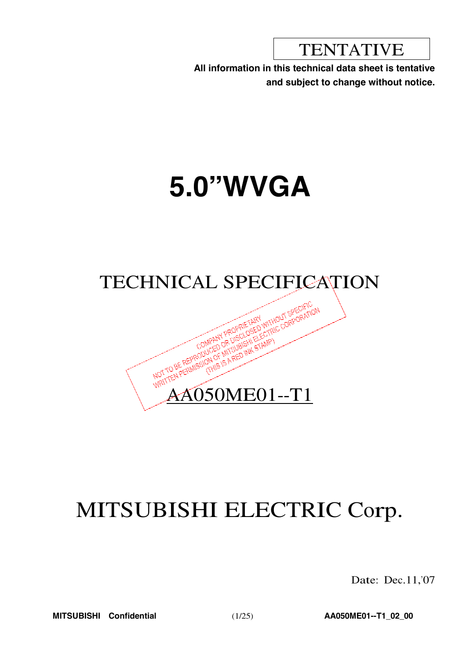**TENTATIVE** 

**All information in this technical data sheet is tentative and subject to change without notice.**

# **5.0"WVGA**



## MITSUBISHI ELECTRIC Corp.

Date: Dec.11,'07

**MITSUBISHI Confidential** (1/25) **AA050ME01--T1\_02\_00**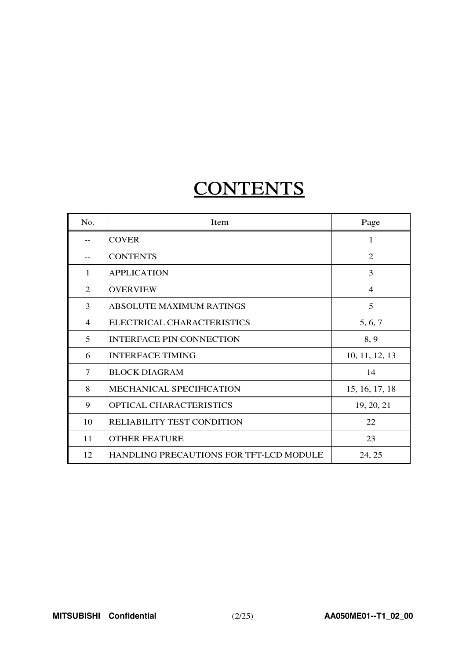## **CONTENTS**

| No.            | Item                                           | Page           |
|----------------|------------------------------------------------|----------------|
| $- -$          | <b>COVER</b>                                   | 1              |
|                | <b>CONTENTS</b>                                | $\mathfrak{D}$ |
| 1              | <b>APPLICATION</b>                             | 3              |
| 2              | <b>OVERVIEW</b>                                | $\overline{4}$ |
| 3              | <b>ABSOLUTE MAXIMUM RATINGS</b>                | 5              |
| $\overline{4}$ | ELECTRICAL CHARACTERISTICS                     | 5, 6, 7        |
| 5              | <b>INTERFACE PIN CONNECTION</b>                | 8, 9           |
| 6              | <b>INTERFACE TIMING</b>                        | 10, 11, 12, 13 |
| 7              | <b>BLOCK DIAGRAM</b>                           | 14             |
| 8              | MECHANICAL SPECIFICATION                       | 15, 16, 17, 18 |
| 9              | OPTICAL CHARACTERISTICS                        | 19, 20, 21     |
| 10             | <b>RELIABILITY TEST CONDITION</b>              | 22             |
| 11             | <b>OTHER FEATURE</b>                           | 23             |
| 12             | <b>HANDLING PRECAUTIONS FOR TFT-LCD MODULE</b> | 24, 25         |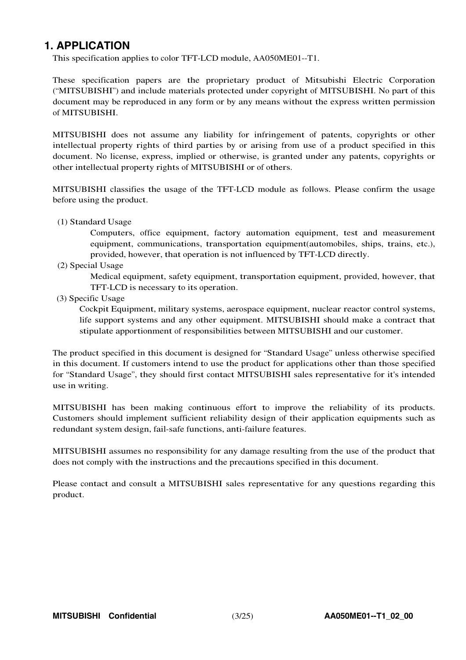### **1. APPLICATION**

This specification applies to color TFT-LCD module, AA050ME01--T1.

These specification papers are the proprietary product of Mitsubishi Electric Corporation ("MITSUBISHI") and include materials protected under copyright of MITSUBISHI. No part of this document may be reproduced in any form or by any means without the express written permission of MITSUBISHI.

MITSUBISHI does not assume any liability for infringement of patents, copyrights or other intellectual property rights of third parties by or arising from use of a product specified in this document. No license, express, implied or otherwise, is granted under any patents, copyrights or other intellectual property rights of MITSUBISHI or of others.

MITSUBISHI classifies the usage of the TFT-LCD module as follows. Please confirm the usage before using the product.

(1) Standard Usage

Computers, office equipment, factory automation equipment, test and measurement equipment, communications, transportation equipment(automobiles, ships, trains, etc.), provided, however, that operation is not influenced by TFT-LCD directly.

(2) Special Usage

Medical equipment, safety equipment, transportation equipment, provided, however, that TFT-LCD is necessary to its operation.

(3) Specific Usage

Cockpit Equipment, military systems, aerospace equipment, nuclear reactor control systems, life support systems and any other equipment. MITSUBISHI should make a contract that stipulate apportionment of responsibilities between MITSUBISHI and our customer.

The product specified in this document is designed for "Standard Usage" unless otherwise specified in this document. If customers intend to use the product for applications other than those specified for "Standard Usage", they should first contact MITSUBISHI sales representative for it's intended use in writing.

MITSUBISHI has been making continuous effort to improve the reliability of its products. Customers should implement sufficient reliability design of their application equipments such as redundant system design, fail-safe functions, anti-failure features.

MITSUBISHI assumes no responsibility for any damage resulting from the use of the product that does not comply with the instructions and the precautions specified in this document.

Please contact and consult a MITSUBISHI sales representative for any questions regarding this product.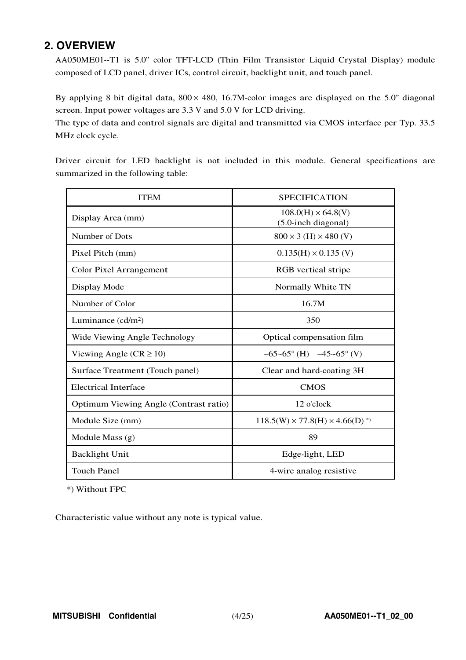## **2. OVERVIEW**

AA050ME01--T1 is 5.0" color TFT-LCD (Thin Film Transistor Liquid Crystal Display) module composed of LCD panel, driver ICs, control circuit, backlight unit, and touch panel.

By applying 8 bit digital data,  $800 \times 480$ , 16.7M-color images are displayed on the 5.0" diagonal screen. Input power voltages are 3.3 V and 5.0 V for LCD driving.

The type of data and control signals are digital and transmitted via CMOS interface per Typ. 33.5 MHz clock cycle.

Driver circuit for LED backlight is not included in this module. General specifications are summarized in the following table:

| <b>ITEM</b>                            | <b>SPECIFICATION</b>                             |
|----------------------------------------|--------------------------------------------------|
| Display Area (mm)                      | $108.0(H) \times 64.8(V)$<br>(5.0-inch diagonal) |
| Number of Dots                         | $800 \times 3$ (H) $\times$ 480 (V)              |
| Pixel Pitch (mm)                       | $0.135(H) \times 0.135$ (V)                      |
| <b>Color Pixel Arrangement</b>         | RGB vertical stripe                              |
| Display Mode                           | Normally White TN                                |
| Number of Color                        | 16.7M                                            |
| Luminance $(cd/m2)$                    | 350                                              |
| Wide Viewing Angle Technology          | Optical compensation film                        |
| Viewing Angle ( $CR \ge 10$ )          | $-65-65^{\circ}$ (H) $-45-65^{\circ}$ (V)        |
| Surface Treatment (Touch panel)        | Clear and hard-coating 3H                        |
| <b>Electrical Interface</b>            | <b>CMOS</b>                                      |
| Optimum Viewing Angle (Contrast ratio) | 12 o'clock                                       |
| Module Size (mm)                       | $118.5(W) \times 77.8(H) \times 4.66(D)^{*}$     |
| Module Mass $(g)$                      | 89                                               |
| <b>Backlight Unit</b>                  | Edge-light, LED                                  |
| <b>Touch Panel</b>                     | 4-wire analog resistive                          |

\*) Without FPC

Characteristic value without any note is typical value.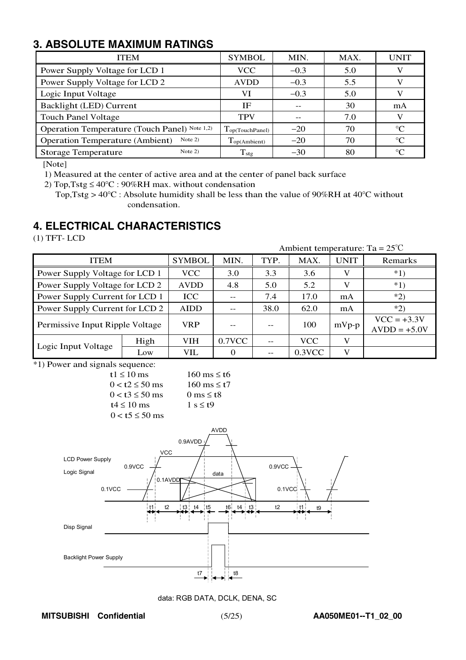## **3. ABSOLUTE MAXIMUM RATINGS**

| <b>ITEM</b>                                         | <b>SYMBOL</b>               | MIN.   | MAX. | <b>UNIT</b> |  |
|-----------------------------------------------------|-----------------------------|--------|------|-------------|--|
| Power Supply Voltage for LCD 1                      | <b>VCC</b>                  | $-0.3$ | 5.0  |             |  |
| Power Supply Voltage for LCD 2                      | <b>AVDD</b>                 | $-0.3$ | 5.5  |             |  |
| Logic Input Voltage                                 | VI                          | $-0.3$ | 5.0  |             |  |
| Backlight (LED) Current                             | ΙF                          |        | 30   | mA          |  |
| <b>Touch Panel Voltage</b>                          | <b>TPV</b>                  |        | 7.0  |             |  |
| Operation Temperature (Touch Panel) Note 1,2)       | $T_{\text{op(TouchPanel)}}$ | $-20$  | 70   | $^{\circ}C$ |  |
| Note $2)$<br><b>Operation Temperature (Ambient)</b> | Top(Ambient)                | $-20$  | 70   | $^{\circ}C$ |  |
| Note $2)$<br><b>Storage Temperature</b>             | $T_{\rm stg}$               | $-30$  | 80   | $^{\circ}C$ |  |

[Note]

1) Measured at the center of active area and at the center of panel back surface

2) Top, Tstg  $\leq 40^{\circ}$ C: 90%RH max. without condensation

Top, Tstg >  $40^{\circ}$ C: Absolute humidity shall be less than the value of 90%RH at 40 $^{\circ}$ C without condensation.

## **4. ELECTRICAL CHARACTERISTICS**

(1) TFT- LCD

| Ambient temperature: Ta = $25^{\circ}$ C |      |               |           |      |            |             |                                 |  |  |  |
|------------------------------------------|------|---------------|-----------|------|------------|-------------|---------------------------------|--|--|--|
| <b>ITEM</b>                              |      | <b>SYMBOL</b> | MIN.      | TYP. | MAX.       | <b>UNIT</b> | Remarks                         |  |  |  |
| Power Supply Voltage for LCD 1           |      | <b>VCC</b>    | 3.0       | 3.3  | 3.6        | V           | $*1)$                           |  |  |  |
| Power Supply Voltage for LCD 2           |      | <b>AVDD</b>   | 4.8       | 5.0  | 5.2        | V           | $*1)$                           |  |  |  |
| Power Supply Current for LCD 1           |      | <b>ICC</b>    |           | 7.4  | 17.0       | mA          | $*2)$                           |  |  |  |
| Power Supply Current for LCD 2           |      | <b>AIDD</b>   |           | 38.0 | 62.0       | mA          | $*2)$                           |  |  |  |
| Permissive Input Ripple Voltage          |      | <b>VRP</b>    | --        |      | 100        | $mVp-p$     | $VCC = +3.3V$<br>$AVDD = +5.0V$ |  |  |  |
|                                          | High | <b>VIH</b>    | $0.7$ VCC |      | <b>VCC</b> | V           |                                 |  |  |  |
| Logic Input Voltage                      | Low  | VIL           | $\Omega$  |      | $0.3$ VCC  | V           |                                 |  |  |  |

\*1) Power and signals sequence:

| t1 $\leq$ 10 ms        | $160 \text{ ms} \leq t6$   |
|------------------------|----------------------------|
| $0 < t2 \le 50$ ms     | $160 \text{ ms} \leq t7$   |
| $0 < t$ 3 $\leq 50$ ms | 0 ms $\leq$ t <sub>8</sub> |
| $t4 \leq 10$ ms        | $1 s \leq t9$              |
| $0 < t$ 5 $\leq 50$ ms |                            |



data: RGB DATA, DCLK, DENA, SC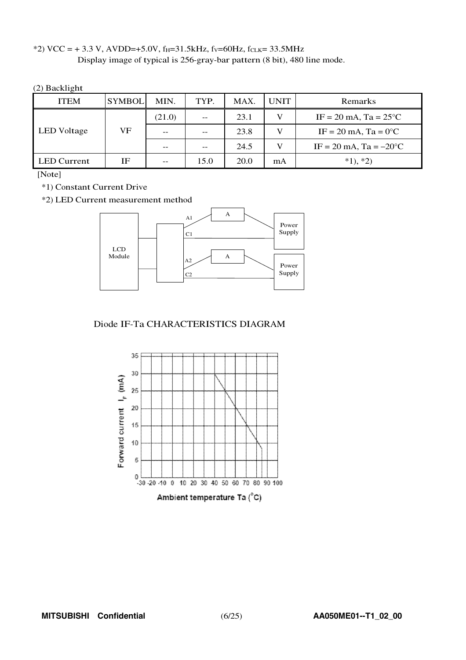\*2) VCC = +3.3 V, AVDD=+5.0V, f<sub>H</sub>=31.5kHz, fv=60Hz, fcLK=33.5MHz Display image of typical is 256-gray-bar pattern (8 bit), 480 line mode.

(2) Backlight

| <b>ITEM</b> | <b>SYMBOL</b> | MIN.   | TYP. | MAX.                                      | <b>UNIT</b> | Remarks                                  |
|-------------|---------------|--------|------|-------------------------------------------|-------------|------------------------------------------|
|             |               | (21.0) | $ -$ | $IF = 20 \text{ mA}$ , $Ta = 25^{\circ}C$ |             |                                          |
| LED Voltage | VF            | $- -$  | $ -$ | 23.8                                      | V           | $IF = 20 \text{ mA}$ , $Ta = 0^{\circ}C$ |
|             |               | $- -$  |      | 24.5                                      | V           | IF = 20 mA, Ta = $-20^{\circ}$ C         |
| LED Current | ΙF            | $- -$  | 15.0 | 20.0                                      | mA          | $*1, *2)$                                |

[Note]

\*1) Constant Current Drive

\*2) LED Current measurement method



Diode IF-Ta CHARACTERISTICS DIAGRAM

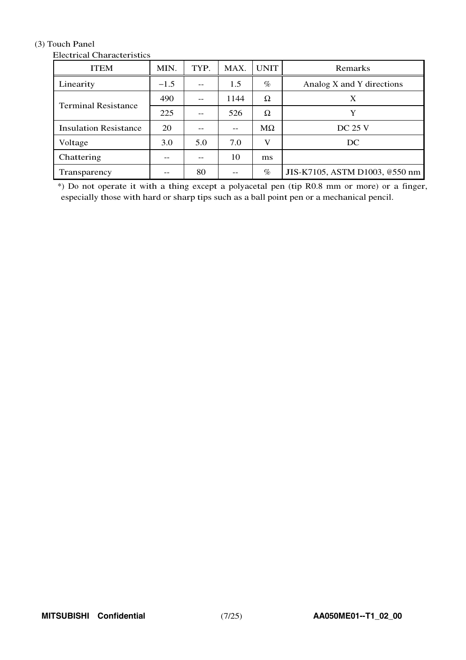#### (3) Touch Panel

| <b>ITEM</b>                  | MIN.   | TYP. | MAX. | <b>UNIT</b> | <b>Remarks</b>                 |  |  |  |  |  |  |
|------------------------------|--------|------|------|-------------|--------------------------------|--|--|--|--|--|--|
| Linearity                    | $-1.5$ |      | 1.5  | $\%$        | Analog X and Y directions      |  |  |  |  |  |  |
| <b>Terminal Resistance</b>   | 490    |      | 1144 | Ω           | X                              |  |  |  |  |  |  |
|                              | 225    |      | 526  | Ω           | Y                              |  |  |  |  |  |  |
| <b>Insulation Resistance</b> | 20     |      | --   | $M\Omega$   | <b>DC 25 V</b>                 |  |  |  |  |  |  |
| Voltage                      | 3.0    | 5.0  | 7.0  | V           | DC                             |  |  |  |  |  |  |
| Chattering                   |        |      | 10   | ms          |                                |  |  |  |  |  |  |
| Transparency                 |        | 80   |      | $\%$        | JIS-K7105, ASTM D1003, @550 nm |  |  |  |  |  |  |

#### **Electrical Characteristics**

\*) Do not operate it with a thing except a polyacetal pen (tip R0.8 mm or more) or a finger, especially those with hard or sharp tips such as a ball point pen or a mechanical pencil.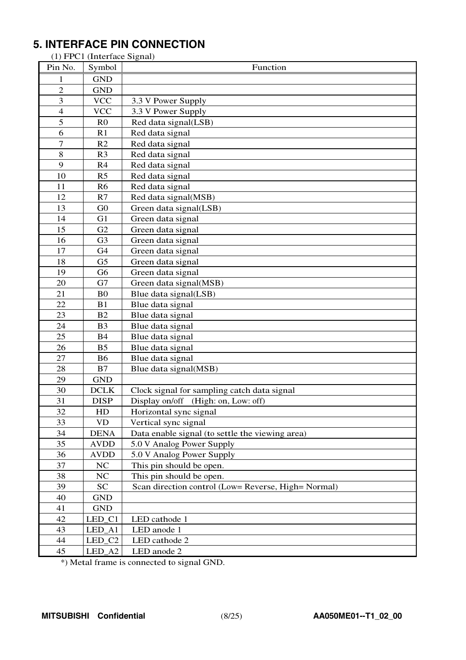## **5. INTERFACE PIN CONNECTION**

(1) FPC1 (Interface Signal)

| Pin No.        | Symbol         | Function                                            |
|----------------|----------------|-----------------------------------------------------|
| 1              | <b>GND</b>     |                                                     |
| $\overline{2}$ | <b>GND</b>     |                                                     |
| 3              | <b>VCC</b>     | 3.3 V Power Supply                                  |
| $\overline{4}$ | <b>VCC</b>     | 3.3 V Power Supply                                  |
| 5              | R <sub>0</sub> | Red data signal(LSB)                                |
| 6              | R <sub>1</sub> | Red data signal                                     |
| 7              | R2             | Red data signal                                     |
| 8              | R <sub>3</sub> | Red data signal                                     |
| 9              | R <sub>4</sub> | Red data signal                                     |
| 10             | R <sub>5</sub> | Red data signal                                     |
| 11             | R <sub>6</sub> | Red data signal                                     |
| 12             | R7             | Red data signal(MSB)                                |
| 13             | G <sub>0</sub> | Green data signal(LSB)                              |
| 14             | G1             | Green data signal                                   |
| 15             | G2             | Green data signal                                   |
| 16             | G <sub>3</sub> | Green data signal                                   |
| 17             | G <sub>4</sub> | Green data signal                                   |
| 18             | G <sub>5</sub> | Green data signal                                   |
| 19             | G <sub>6</sub> | Green data signal                                   |
| 20             | G7             | Green data signal(MSB)                              |
| 21             | B <sub>0</sub> | Blue data signal(LSB)                               |
| 22             | B <sub>1</sub> | Blue data signal                                    |
| 23             | B <sub>2</sub> | Blue data signal                                    |
| 24             | B <sub>3</sub> | Blue data signal                                    |
| 25             | <b>B4</b>      | Blue data signal                                    |
| 26             | B <sub>5</sub> | Blue data signal                                    |
| 27             | <b>B6</b>      | Blue data signal                                    |
| 28             | B7             | Blue data signal(MSB)                               |
| 29             | <b>GND</b>     |                                                     |
| 30             | <b>DCLK</b>    | Clock signal for sampling catch data signal         |
| 31             | <b>DISP</b>    | Display on/off (High: on, Low: off)                 |
| 32             | HD             | Horizontal sync signal                              |
| 33             | <b>VD</b>      | Vertical sync signal                                |
| 34             | <b>DENA</b>    | Data enable signal (to settle the viewing area)     |
| 35             | <b>AVDD</b>    | 5.0 V Analog Power Supply                           |
| 36             | <b>AVDD</b>    | 5.0 V Analog Power Supply                           |
| 37             | NC             | This pin should be open.                            |
| 38             | NC             | This pin should be open.                            |
| 39             | <b>SC</b>      | Scan direction control (Low= Reverse, High= Normal) |
| 40             | <b>GND</b>     |                                                     |
| 41             | <b>GND</b>     |                                                     |
| 42             | LED_C1         | LED cathode 1                                       |
| 43             | LED_A1         | LED anode 1                                         |
| 44             | LED_C2         | LED cathode 2                                       |
| 45             | LED_A2         | LED anode 2                                         |

\*) Metal frame is connected to signal GND.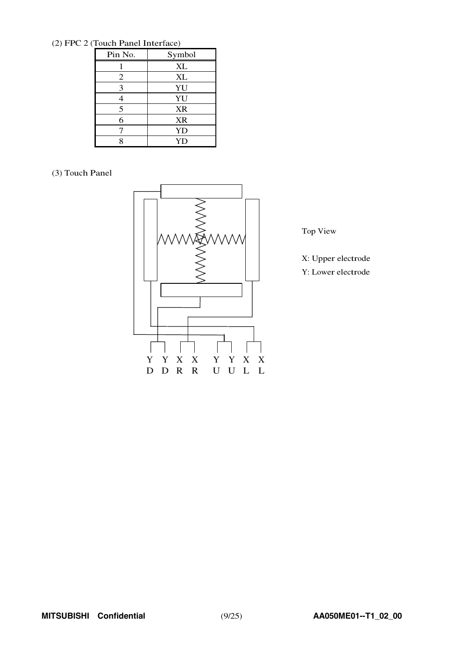(2) FPC 2 (Touch Panel Interface)

| $10$ and $100$ $100$ $100$ |           |  |  |  |  |  |  |  |
|----------------------------|-----------|--|--|--|--|--|--|--|
| Pin No.                    | Symbol    |  |  |  |  |  |  |  |
|                            | XL        |  |  |  |  |  |  |  |
| $\overline{2}$             | XL        |  |  |  |  |  |  |  |
| 3                          | YU        |  |  |  |  |  |  |  |
| 4                          | YU        |  |  |  |  |  |  |  |
| 5                          | <b>XR</b> |  |  |  |  |  |  |  |
| 6                          | <b>XR</b> |  |  |  |  |  |  |  |
|                            | YD        |  |  |  |  |  |  |  |
| 8                          | YD        |  |  |  |  |  |  |  |

#### (3) Touch Panel



Top View

X: Upper electrode Y: Lower electrode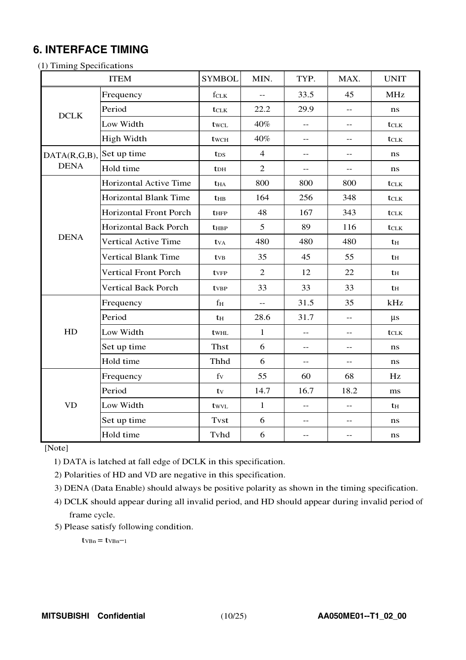## **6. INTERFACE TIMING**

(1) Timing Specifications

|              | <b>ITEM</b>                   | <b>SYMBOL</b>          | MIN.           | TYP.                                          | MAX.                                          | <b>UNIT</b>      |
|--------------|-------------------------------|------------------------|----------------|-----------------------------------------------|-----------------------------------------------|------------------|
|              | Frequency                     | fclk                   | $\overline{a}$ | 33.5                                          | 45                                            | <b>MHz</b>       |
| <b>DCLK</b>  | Period                        | tclk                   | 22.2           | 29.9                                          | $-$                                           | $\bf ns$         |
|              | Low Width                     | twcl                   | 40%            | $-$                                           | $-$                                           | $t_{\rm CLK}$    |
|              | High Width                    | twcH                   | 40%            | $-$                                           | $-$                                           | $t_{\text{CLK}}$ |
| DATA(R,G,B), | Set up time                   | t <sub>DS</sub>        | $\overline{4}$ | $-$                                           | $-$                                           | ns               |
| <b>DENA</b>  | Hold time                     | $t_{DH}$               | $\overline{2}$ | $-$                                           | $-$                                           | ns               |
|              | Horizontal Active Time        | <b>t</b> <sub>HA</sub> | 800            | 800                                           | 800                                           | tclk             |
|              | <b>Horizontal Blank Time</b>  | $t_{HB}$               | 164            | 256                                           | 348                                           | $t_{\text{CLK}}$ |
|              | <b>Horizontal Front Porch</b> | t <sub>HFP</sub>       | 48             | 167                                           | 343                                           | $t_{\text{CLK}}$ |
|              | Horizontal Back Porch         | $t_{\rm HBP}$          | 5              | 89                                            | 116                                           | $t_{\text{CLK}}$ |
| <b>DENA</b>  | Vertical Active Time          | $t_{VA}$               | 480            | 480                                           | 480                                           | $t_H$            |
|              | <b>Vertical Blank Time</b>    | $t_{VB}$               | 35             | 45                                            | 55                                            | $t_{\rm H}$      |
|              | <b>Vertical Front Porch</b>   | tvFP                   | $\overline{2}$ | 12                                            | 22                                            | th               |
|              | <b>Vertical Back Porch</b>    | tvBP                   | 33             | 33                                            | 33                                            | $t_H$            |
|              | Frequency                     | f <sub>H</sub>         | $\overline{a}$ | 31.5                                          | 35                                            | kHz              |
|              | Period                        | th                     | 28.6           | 31.7                                          | $-$                                           | $\mu s$          |
| HD           | Low Width                     | twhl                   | $\mathbf{1}$   | $-$                                           | $-$                                           | $t_{\text{CLK}}$ |
|              | Set up time                   | <b>Thst</b>            | 6              | $-$                                           | $-$                                           | ns               |
|              | Hold time                     | Thhd                   | 6              | $\mathord{\hspace{1pt}\text{--}\hspace{1pt}}$ | $\mathord{\hspace{1pt}\text{--}\hspace{1pt}}$ | $\bf ns$         |
|              | Frequency                     | $f_V$                  | 55             | 60                                            | 68                                            | Hz               |
|              | Period                        | $t_{V}$                | 14.7           | 16.7                                          | 18.2                                          | ms               |
| <b>VD</b>    | Low Width                     | twvL                   | $\mathbf{1}$   | $-$                                           | $-$                                           | tн               |
|              | Set up time                   | <b>Tvst</b>            | 6              | $-$                                           | $- -$                                         | ns               |
|              | Hold time                     | Tvhd                   | 6              | $-$                                           | $- -$                                         | ns               |

[Note]

1) DATA is latched at fall edge of DCLK in this specification.

2) Polarities of HD and VD are negative in this specification.

3) DENA (Data Enable) should always be positive polarity as shown in the timing specification.

4) DCLK should appear during all invalid period, and HD should appear during invalid period of frame cycle.

5) Please satisfy following condition.

 $t$ VBn =  $t$ VBn-1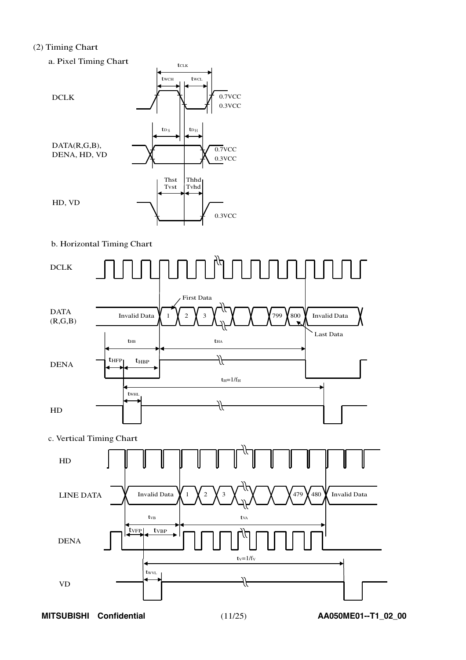#### (2) Timing Chart



#### b. Horizontal Timing Chart



c. Vertical Timing Chart



**MITSUBISHI Confidential** (11/25) **AA050ME01--T1\_02\_00**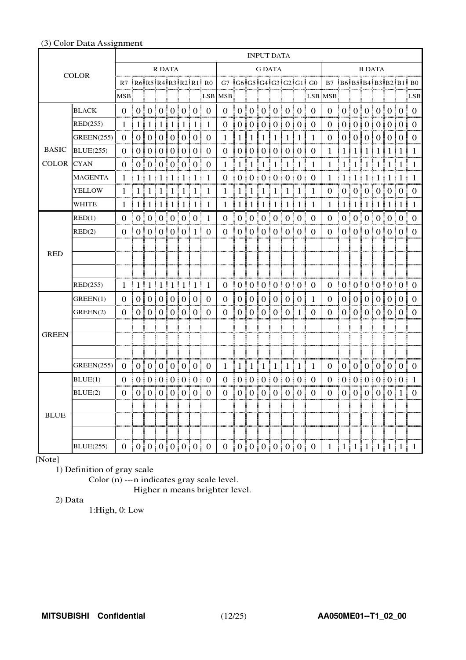|              | <b>INPUT DATA</b> |                               |  |        |            |  |    |                                               |                |                                                                                         |                 |                |                |    |                                                      |               |                               |                                                      |                           |                                         |                  |               |  |                                                      |                |
|--------------|-------------------|-------------------------------|--|--------|------------|--|----|-----------------------------------------------|----------------|-----------------------------------------------------------------------------------------|-----------------|----------------|----------------|----|------------------------------------------------------|---------------|-------------------------------|------------------------------------------------------|---------------------------|-----------------------------------------|------------------|---------------|--|------------------------------------------------------|----------------|
|              | <b>COLOR</b>      |                               |  |        | R DATA     |  |    |                                               |                | iguarra guarra igrar a constitución a aguarra guarra                                    |                 |                | <b>G DATA</b>  |    |                                                      |               | mga mangununun                |                                                      |                           |                                         |                  | <b>B DATA</b> |  |                                                      |                |
|              |                   |                               |  |        |            |  |    |                                               |                | R7 $ R6 R5 R4 R3 R2 R1 $ R0   G7 $ G6 G5 G4 G3 G2 G1 $ G0   B7 $ B6 B5 B4 B3 B2 B1 $ B0 |                 |                |                |    |                                                      |               |                               |                                                      |                           |                                         |                  |               |  |                                                      |                |
|              |                   | $MSB$ .                       |  |        |            |  | ŧ. |                                               |                | LSB MSB                                                                                 |                 |                |                |    | Ť.                                                   |               |                               | LSB MSB                                              |                           |                                         |                  |               |  |                                                      | LSB            |
|              | <b>BLACK</b>      | 0 <sup>1</sup>                |  |        |            |  |    | 0   0   0   0   0   0   0                     |                |                                                                                         |                 |                |                |    | 0   0   0   0   0   0   0   0                        |               |                               |                                                      |                           |                                         |                  |               |  | 0 10 10 10 10 10 10 10                               |                |
|              | RED(255)          | $\mathbf{1}$                  |  |        |            |  |    | 1   1   1   1   1   1                         | $\mathbf{1}$   | 0 :                                                                                     | 0:              |                |                |    | 0   0   0   0   0                                    |               | - 0                           | 0 :                                                  | $\theta$                  | $\begin{array}{c} 0 & 0 \\ \end{array}$ |                  |               |  | 0:0:0:0                                              |                |
|              | <b>GREEN(255)</b> | $\Omega$                      |  |        |            |  |    | 010101010101                                  | $\Omega$       | $\mathbf{1}$                                                                            | 11              | $\pm 1$        | $1 \mid 1$     |    | 1111                                                 |               | -1                            | 0                                                    |                           |                                         |                  |               |  | 0101010101010                                        |                |
| <b>BASIC</b> | <b>BLUE</b> (255) | $\Omega$                      |  |        |            |  |    | 0   0   0   0   0   0                         | $\Omega$       | $\Omega$                                                                                |                 |                |                |    | 0   0   0   0   0   0                                |               | $\Omega$                      | $\mathbf{1}$                                         |                           |                                         |                  |               |  | 1   1   1   1   1   1   1                            | -1             |
| <b>COLOR</b> | <b>CYAN</b>       | 0                             |  |        |            |  |    | 0   0   0   0   0   0                         | $\Omega$       |                                                                                         | 1 1 1 1 1 1 1 1 |                |                | -1 | ÷                                                    | $1 \pm 1 \pm$ | - 1                           |                                                      |                           |                                         |                  |               |  | 1 1 1 1 1 1 1 1 1 1 1 1 1 1                          |                |
|              | MAGENTA           | $\mathbf{1}$                  |  |        | 1111111111 |  |    |                                               | 1              | 0 <sup>1</sup>                                                                          |                 |                |                |    | 0   0   0   0   0   0   0                            |               |                               |                                                      |                           |                                         |                  |               |  | $1 \mid 1 \mid 1 \mid 1 \mid 1 \mid 1 \mid 1 \mid 1$ |                |
|              | YELLOW            | 1.                            |  |        |            |  |    | 1111111111111                                 | - 1            |                                                                                         |                 |                |                |    | $1 \t111111111111$                                   |               | - 1                           |                                                      |                           |                                         |                  |               |  | 0   0   0   0   0   0   0                            |                |
|              | <b>WHITE</b>      | 1                             |  |        |            |  |    | 1 1 1 1 1 1 1                                 | 1              |                                                                                         |                 |                |                |    | $1 \mid 1 \mid 1 \mid 1 \mid 1 \mid 1 \mid 1 \mid 1$ |               |                               |                                                      |                           |                                         |                  |               |  | $1 \mid 1 \mid 1 \mid 1 \mid 1 \mid 1 \mid 1 \mid 1$ |                |
|              | RED(1)            | $\Omega$                      |  |        |            |  |    | 0   0   0   0   0   0   1                     |                |                                                                                         |                 |                |                |    | $0 \pm 0 \pm 0 \pm 0 \pm 0 \pm 0 \pm 0$              |               |                               |                                                      |                           |                                         |                  |               |  | $0 \t0 \t0 \t0 \t0 \t0 \t0 \t0$                      |                |
|              | RED(2)            | 0   0   0   0   0   0   1     |  |        |            |  |    |                                               | $\Omega$       |                                                                                         |                 |                |                |    | 0   0   0   0   0   0   0   0                        |               |                               |                                                      |                           |                                         |                  |               |  | 0  0 0 0 0 0 0 0                                     |                |
|              |                   |                               |  |        |            |  |    |                                               |                |                                                                                         |                 |                |                |    |                                                      |               |                               |                                                      |                           |                                         |                  |               |  |                                                      |                |
| <b>RED</b>   |                   |                               |  |        |            |  |    |                                               |                |                                                                                         |                 |                |                |    |                                                      |               |                               |                                                      |                           |                                         |                  |               |  |                                                      |                |
|              |                   |                               |  |        |            |  |    |                                               |                |                                                                                         |                 |                |                |    |                                                      |               |                               |                                                      |                           |                                         |                  |               |  |                                                      |                |
|              | RED(255)          |                               |  |        |            |  |    | $1 \mid 1 \mid 1 \mid 1 \mid 1 \mid 1 \mid 1$ | 1              |                                                                                         |                 |                |                |    | 0   0   0   0   0   0   0                            |               | $\overline{0}$                |                                                      |                           |                                         |                  |               |  | 0   0   0   0   0   0   0   0                        |                |
|              | GREEN(1)          | $\Omega$                      |  | $01$ 0 |            |  |    | 01010101                                      | $\overline{0}$ | $\overline{0}$                                                                          | $\overline{0}$  | 0 <sup>1</sup> | $\overline{0}$ |    | 010101                                               |               | $\overline{1}$                | $\theta$                                             | 0 <sup>1</sup>            | $\overline{0}$                          | $\overline{0}$ . |               |  | 010101                                               | $\Omega$       |
|              | GREEN(2)          | $\overline{0}$                |  |        |            |  |    | 0 0 0 0 0 0                                   | $\overline{0}$ | 0                                                                                       |                 |                |                |    | 0   0   0   0   0   1                                |               | $\overline{0}$<br>÷           | 0 <sup>1</sup>                                       |                           |                                         |                  |               |  | 0   0   0   0   0   0                                | $\Omega$       |
|              |                   |                               |  |        |            |  |    |                                               |                |                                                                                         |                 |                |                |    |                                                      |               |                               |                                                      |                           |                                         |                  |               |  |                                                      |                |
| <b>GREEN</b> |                   |                               |  |        |            |  |    |                                               |                |                                                                                         |                 |                |                |    |                                                      |               |                               |                                                      |                           |                                         |                  |               |  |                                                      |                |
|              |                   |                               |  |        |            |  |    |                                               |                |                                                                                         |                 |                |                |    |                                                      |               |                               |                                                      |                           |                                         |                  |               |  |                                                      |                |
|              | GREEN(255)        | 0  0 0 0 0 0 0 0              |  |        |            |  |    |                                               |                |                                                                                         |                 |                |                |    | $1 \mid 1 \mid 1 \mid 1 \mid 1 \mid 1 \mid 1 \mid 1$ |               |                               |                                                      |                           |                                         |                  |               |  | 0 10101010101010                                     |                |
|              | BLUE(1)           | $\Omega$                      |  |        |            |  |    | 0   0   0   0   0   0                         |                | 0                                                                                       |                 |                |                |    | 0   0   0   0   0   0   0                            |               |                               | $\Omega$                                             |                           |                                         |                  |               |  | 0   0   0   0   0   0   1                            |                |
|              | BLUE(2)           | 0   0   0   0   0   0   0   0 |  |        |            |  |    |                                               |                |                                                                                         |                 |                |                |    | 0   0   0   0   0   0   0   0                        |               |                               |                                                      | 0   0   0   0   0   0   1 |                                         |                  |               |  |                                                      | ÷.<br>$\Omega$ |
|              |                   |                               |  |        |            |  |    |                                               |                |                                                                                         |                 |                |                |    |                                                      |               |                               |                                                      |                           |                                         |                  |               |  |                                                      |                |
| <b>BLUE</b>  |                   |                               |  |        |            |  |    |                                               |                |                                                                                         |                 |                |                |    |                                                      |               |                               |                                                      |                           |                                         |                  |               |  |                                                      |                |
|              |                   |                               |  |        |            |  |    |                                               |                |                                                                                         |                 |                |                |    |                                                      |               |                               |                                                      |                           |                                         |                  |               |  |                                                      |                |
|              | <b>BLUE</b> (255) | 0   0   0   0   0   0   0   0 |  |        |            |  |    |                                               |                |                                                                                         |                 |                |                |    |                                                      |               | 0   0   0   0   0   0   0   0 | $1 \mid 1 \mid 1 \mid 1 \mid 1 \mid 1 \mid 1 \mid 1$ |                           |                                         |                  |               |  |                                                      |                |

#### (3) Color Data Assignment

## [Note]

1) Definition of gray scale

Color (n) ---n indicates gray scale level.

Higher n means brighter level.

#### 2) Data

1:High, 0: Low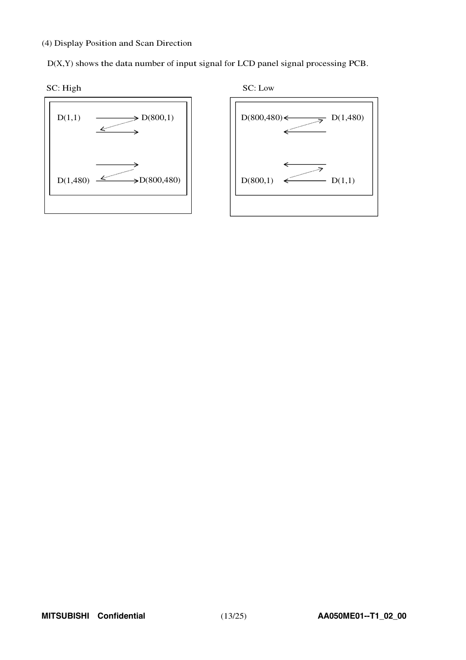(4) Display Position and Scan Direction

D(X,Y) shows the data number of input signal for LCD panel signal processing PCB.





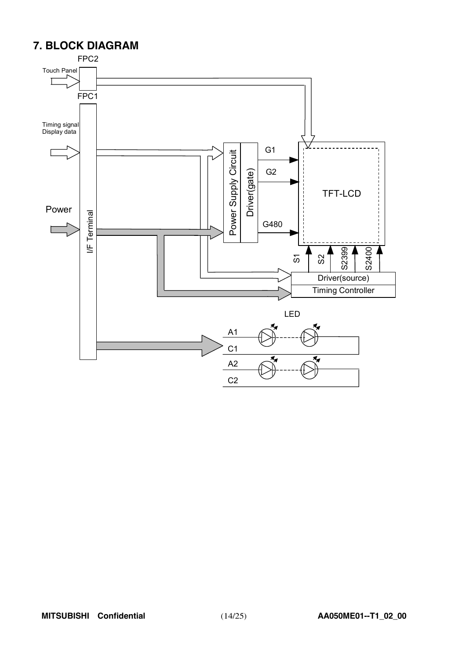## **7. BLOCK DIAGRAM**

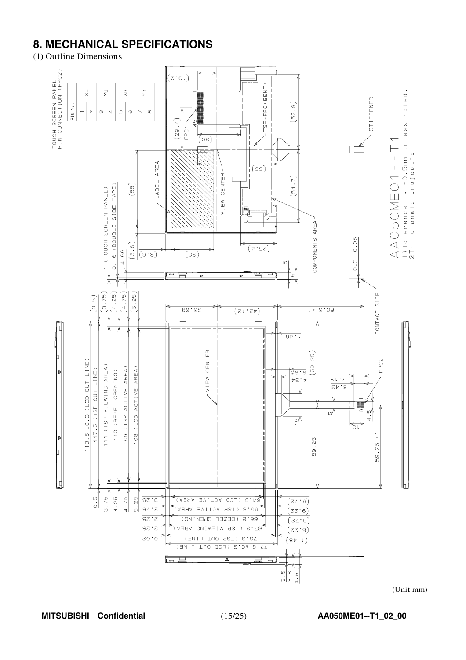## **8. MECHANICAL SPECIFICATIONS**

(1) Outline Dimensions

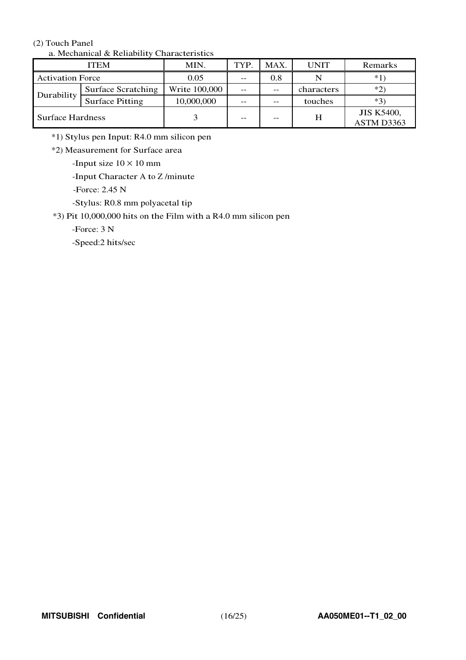#### (2) Touch Panel

| a. <i>Meenamear</i> & Renaomry Characteristics |                        |               |       |      |             |                                 |  |  |  |  |
|------------------------------------------------|------------------------|---------------|-------|------|-------------|---------------------------------|--|--|--|--|
|                                                | <b>ITEM</b>            | MIN.          | TYP.  | MAX. | <b>UNIT</b> | Remarks                         |  |  |  |  |
| <b>Activation Force</b>                        |                        | 0.05          | $- -$ | 0.8  |             | $*1$                            |  |  |  |  |
| Durability                                     | Surface Scratching     | Write 100,000 | --    | $-$  | characters  | $*2)$                           |  |  |  |  |
|                                                | <b>Surface Pitting</b> | 10,000,000    | --    | $-$  | touches     | $*3)$                           |  |  |  |  |
| <b>Surface Hardness</b>                        |                        |               |       | $ -$ | H           | <b>JIS K5400,</b><br>ASTM D3363 |  |  |  |  |

#### a. Mechanical & Reliability Characteristics

\*1) Stylus pen Input: R4.0 mm silicon pen

\*2) Measurement for Surface area

-Input size  $10 \times 10$  mm

-Input Character A to Z/minute

-Force: 2.45 N

-Stylus: R0.8 mm polyacetal tip

\*3) Pit 10,000,000 hits on the Film with a R4.0 mm silicon pen

-Force: 3 N

-Speed:2 hits/sec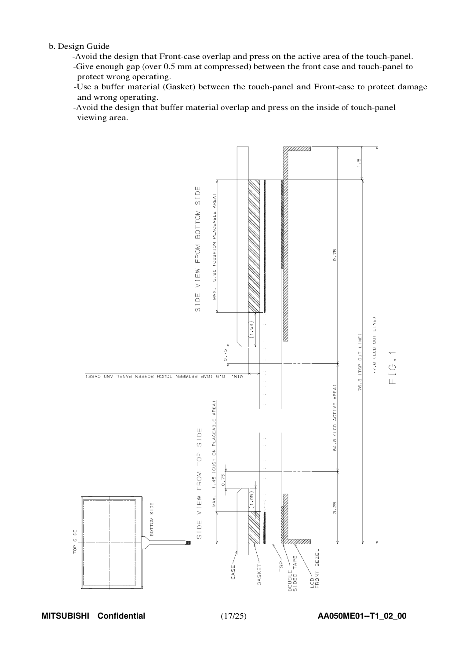b. Design Guide

- -Avoid the design that Front-case overlap and press on the active area of the touch-panel. -Give enough gap (over 0.5 mm at compressed) between the front case and touch-panel to protect wrong operating.
- -Use a buffer material (Gasket) between the touch-panel and Front-case to protect damage and wrong operating.
- -Avoid the design that buffer material overlap and press on the inside of touch-panel viewing area.

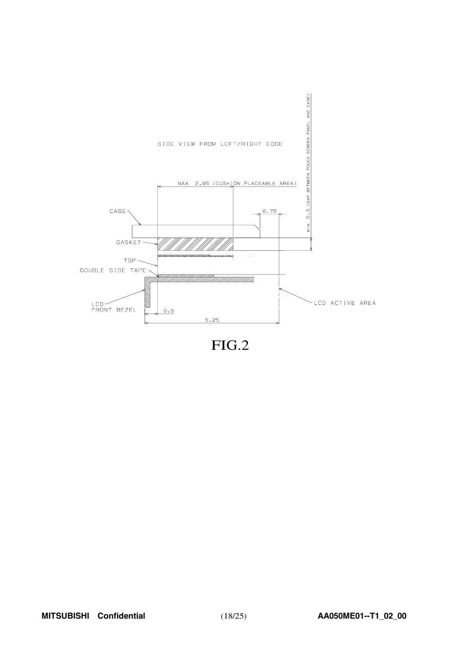

FIG.2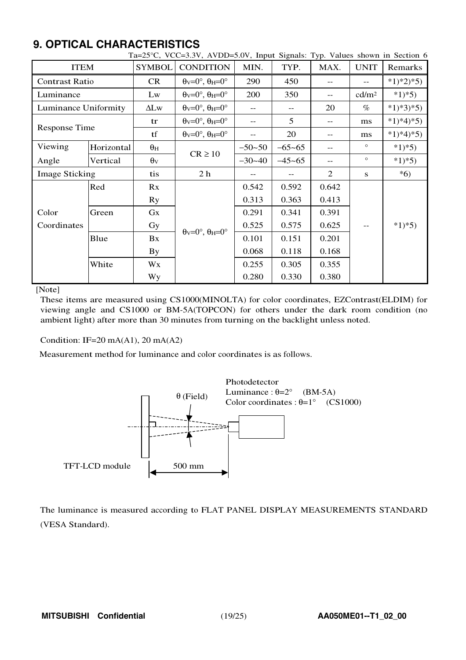## **9. OPTICAL CHARACTERISTICS**

| <b>ITEM</b>           |            | <b>SYMBOL</b>         | <b>CONDITION</b>                                                      | MIN.       | TYP.       | MAX.  | <b>UNIT</b>       | Remarks    |
|-----------------------|------------|-----------------------|-----------------------------------------------------------------------|------------|------------|-------|-------------------|------------|
| <b>Contrast Ratio</b> |            | <b>CR</b>             | $\theta_V = 0^\circ$ , $\theta_H = 0^\circ$                           | 290        | 450        |       |                   | $*1)*2*5$  |
| Luminance             |            | Lw                    | $\theta_V = 0^\circ$ , $\theta_H = 0^\circ$                           | 200        | 350        | $- -$ | cd/m <sup>2</sup> | $*1*5$     |
| Luminance Uniformity  |            | $\Delta L$ w          | $\theta$ <sub>V</sub> = $0^\circ$ , $\theta$ <sub>H</sub> = $0^\circ$ | $- -$      | $-$        | 20    | $\%$              | $*1)*3*5)$ |
| Response Time         |            | tr                    | $\theta$ <sub>V</sub> =0°, $\theta$ <sub>H</sub> =0°                  |            | 5          | $-$   | ms                | $*1)*4*5)$ |
|                       |            | tf                    | $\theta$ <sub>V</sub> = $0^\circ$ , $\theta$ <sub>H</sub> = $0^\circ$ | $- -$      | 20         | $-$   | ms                | $*1)*4*5$  |
| Viewing               | Horizontal | $\theta_H$            | $CR \ge 10$                                                           | $-50 - 50$ | $-65 - 65$ | --    | $\circ$           | $*1)*5)$   |
| Angle                 | Vertical   | $\theta$ <sub>V</sub> |                                                                       | $-30-40$   | $-45 - 65$ | --    | $\circ$           | $*1*5$     |
| <b>Image Sticking</b> |            | tis                   | 2 <sub>h</sub>                                                        |            |            | 2     | S                 | $*6)$      |
|                       | Red        | Rx                    |                                                                       | 0.542      | 0.592      | 0.642 |                   |            |
|                       |            | Ry                    |                                                                       | 0.313      | 0.363      | 0.413 |                   |            |
| Color                 | Green      | Gx                    | $\theta_V = 0^\circ$ , $\theta_H = 0^\circ$                           | 0.291      | 0.341      | 0.391 |                   | $*1)*5)$   |
| Coordinates           |            | Gy                    |                                                                       | 0.525      | 0.575      | 0.625 |                   |            |
|                       | Blue       | Bx                    |                                                                       | 0.101      | 0.151      | 0.201 |                   |            |
|                       |            | <b>By</b>             |                                                                       | 0.068      | 0.118      | 0.168 |                   |            |
|                       | White      | Wx                    |                                                                       | 0.255      | 0.305      | 0.355 |                   |            |
|                       |            | <b>Wy</b>             |                                                                       | 0.280      | 0.330      | 0.380 |                   |            |

#### Ta=25 $\degree$ C, VCC=3.3V, AVDD=5.0V, Input Signals: Typ. Values shown in Section 6

[Note]

These items are measured using CS1000(MINOLTA) for color coordinates, EZContrast(ELDIM) for viewing angle and CS1000 or BM-5A(TOPCON) for others under the dark room condition (no ambient light) after more than 30 minutes from turning on the backlight unless noted.

Condition: IF=20 mA(A1), 20 mA(A2)

Measurement method for luminance and color coordinates is as follows.



The luminance is measured according to FLAT PANEL DISPLAY MEASUREMENTS STANDARD (VESA Standard).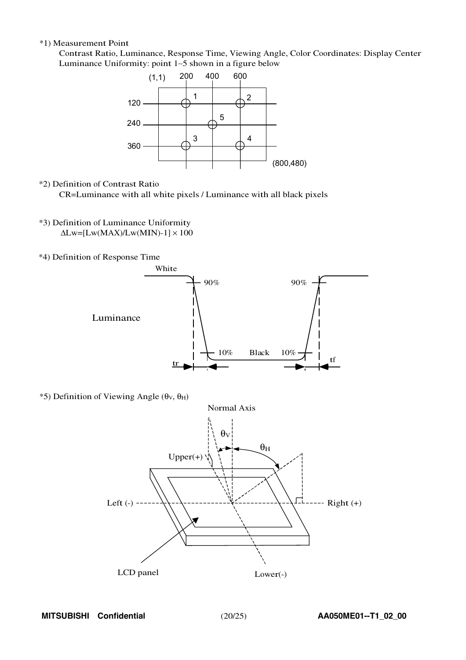#### \*1) Measurement Point

Contrast Ratio, Luminance, Response Time, Viewing Angle, Color Coordinates: Display Center Luminanc<sup>e</sup> Uniformity: point <sup>1</sup>∼<sup>5</sup> shown in a figure belo<sup>w</sup>



\*2) Definition of Contrast Ratio

CR=Luminance with all white pixels / Luminance with all black pixels

- \*3) Definition of Luminance Uniformity  $\Delta$ Lw=[Lw(MAX)/Lw(MIN)-1]  $\times$  100
- \*4) Definition of Response Time



 $*$ 5) Definition of Viewing Angle (θ<sub>V</sub>, θ<sub>H</sub>)

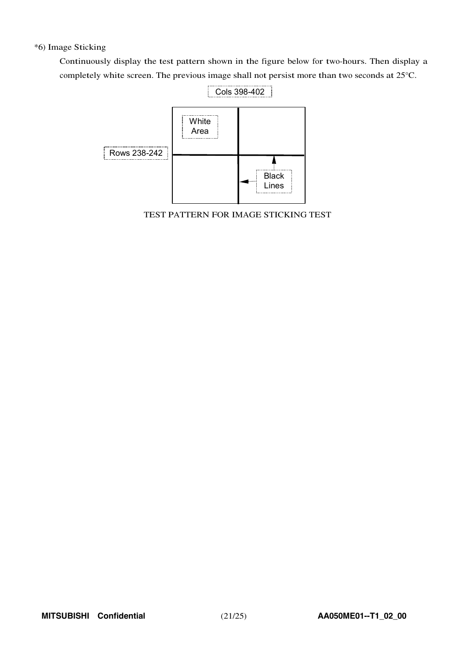#### \*6) Image Sticking

Continuously display the test pattern shown in the figure below for two-hours. Then display a completely white screen. The previous image shall not persist more than two seconds at 25°C.



TEST PATTERN FOR IMAGE STICKING TEST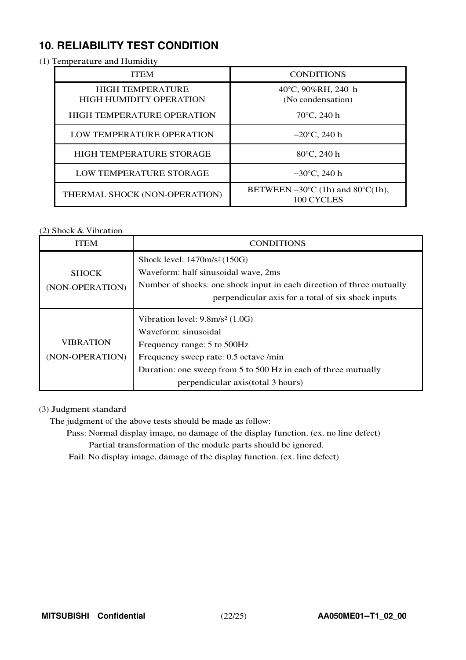## **10. RELIABILITY TEST CONDITION**

#### (1) Temperature and Humidity

| <b>ITEM</b>                                               | <b>CONDITIONS</b>                                                  |  |  |
|-----------------------------------------------------------|--------------------------------------------------------------------|--|--|
| <b>HIGH TEMPERATURE</b><br><b>HIGH HUMIDITY OPERATION</b> | 40°C, 90%RH, 240 h<br>(No condensation)                            |  |  |
| <b>HIGH TEMPERATURE OPERATION</b>                         | $70^{\circ}$ C, 240 h                                              |  |  |
| LOW TEMPERATURE OPERATION                                 | $-20^{\circ}$ C, 240 h                                             |  |  |
| <b>HIGH TEMPERATURE STORAGE</b>                           | $80^{\circ}$ C, 240 h                                              |  |  |
| <b>LOW TEMPERATURE STORAGE</b>                            | $-30^{\circ}$ C, 240 h                                             |  |  |
| THERMAL SHOCK (NON-OPERATION)                             | BETWEEN $-30^{\circ}$ C (1h) and $80^{\circ}$ C(1h),<br>100 CYCLES |  |  |

#### (2) Shock & Vibration

| ITEM             | <b>CONDITIONS</b>                                                     |  |  |  |  |
|------------------|-----------------------------------------------------------------------|--|--|--|--|
|                  | Shock level: 1470m/s <sup>2</sup> (150G)                              |  |  |  |  |
| <b>SHOCK</b>     | Waveform: half sinusoidal wave, 2ms                                   |  |  |  |  |
| (NON-OPERATION)  | Number of shocks: one shock input in each direction of three mutually |  |  |  |  |
|                  | perpendicular axis for a total of six shock inputs                    |  |  |  |  |
|                  | Vibration level: $9.8m/s2$ (1.0G)                                     |  |  |  |  |
|                  | Waveform: sinusoidal                                                  |  |  |  |  |
| <b>VIBRATION</b> | Frequency range: 5 to 500Hz                                           |  |  |  |  |
| (NON-OPERATION)  | Frequency sweep rate: 0.5 octave /min                                 |  |  |  |  |
|                  | Duration: one sweep from 5 to 500 Hz in each of three mutually        |  |  |  |  |
|                  | perpendicular axis (total 3 hours)                                    |  |  |  |  |

#### (3) Judgment standard

The judgment of the above tests should be made as follow:

- Pass: Normal display image, no damage of the display function. (ex. no line defect) Partial transformation of the module parts should be ignored.
- Fail: No display image, damage of the display function. (ex. line defect)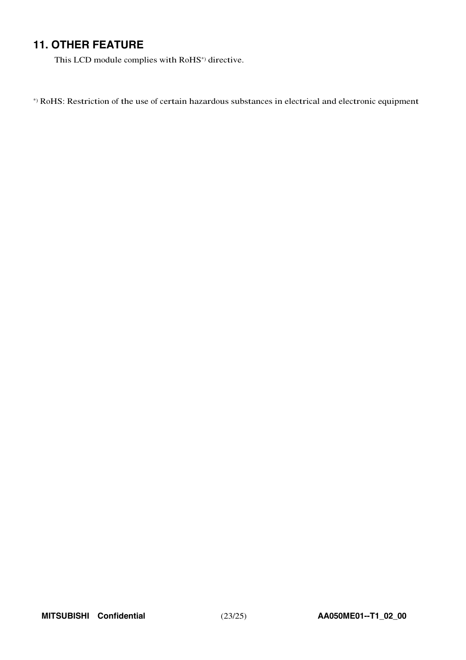## **11. OTHER FEATURE**

This LCD module complies with RoHS\*) directive.

\*) RoHS: Restriction of the use of certain hazardous substances in electrical and electronic equipment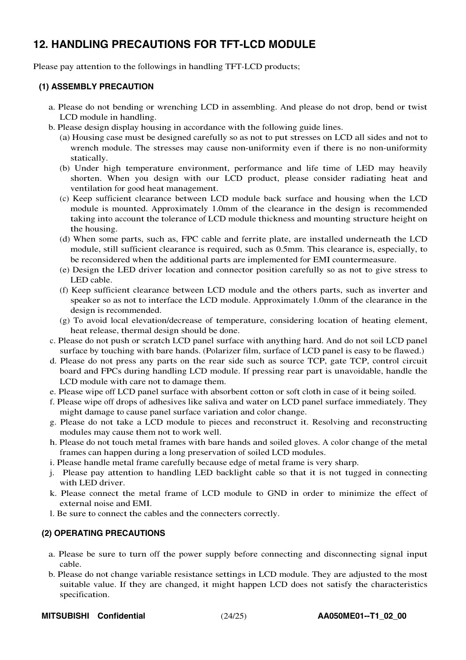## **12. HANDLING PRECAUTIONS FOR TFT-LCD MODULE**

Please pay attention to the followings in handling TFT-LCD products;

#### **(1) ASSEMBLY PRECAUTION**

- a. Please do not bending or wrenching LCD in assembling. And please do not drop, bend or twist LCD module in handling.
- b. Please design display housing in accordance with the following guide lines.
	- (a) Housing case must be designed carefully so as not to put stresses on LCD all sides and not to wrench module. The stresses may cause non-uniformity even if there is no non-uniformity statically.
	- (b) Under high temperature environment, performance and life time of LED may heavily shorten. When you design with our LCD product, please consider radiating heat and ventilation for good heat management.
	- (c) Keep sufficient clearance between LCD module back surface and housing when the LCD module is mounted. Approximately 1.0mm of the clearance in the design is recommended taking into account the tolerance of LCD module thickness and mounting structure height on the housing.
	- (d) When some parts, such as, FPC cable and ferrite plate, are installed underneath the LCD module, still sufficient clearance is required, such as 0.5mm. This clearance is, especially, to be reconsidered when the additional parts are implemented for EMI countermeasure.
	- (e) Design the LED driver location and connector position carefully so as not to give stress to LED cable.
	- (f) Keep sufficient clearance between LCD module and the others parts, such as inverter and speaker so as not to interface the LCD module. Approximately 1.0mm of the clearance in the design is recommended.
	- (g) To avoid local elevation/decrease of temperature, considering location of heating element, heat release, thermal design should be done.
- c. Please do not push or scratch LCD panel surface with anything hard. And do not soil LCD panel surface by touching with bare hands. (Polarizer film, surface of LCD panel is easy to be flawed.)
- d. Please do not press any parts on the rear side such as source TCP, gate TCP, control circuit board and FPCs during handling LCD module. If pressing rear part is unavoidable, handle the LCD module with care not to damage them.
- e. Please wipe off LCD panel surface with absorbent cotton or soft cloth in case of it being soiled.
- f. Please wipe off drops of adhesives like saliva and water on LCD panel surface immediately. They might damage to cause panel surface variation and color change.
- g. Please do not take a LCD module to pieces and reconstruct it. Resolving and reconstructing modules may cause them not to work well.
- h. Please do not touch metal frames with bare hands and soiled gloves. A color change of the metal frames can happen during a long preservation of soiled LCD modules.
- i. Please handle metal frame carefully because edge of metal frame is very sharp.
- j. Please pay attention to handling LED backlight cable so that it is not tugged in connecting with LED driver.
- k. Please connect the metal frame of LCD module to GND in order to minimize the effect of external noise and EMI.
- l. Be sure to connect the cables and the connecters correctly.

#### **(2) OPERATING PRECAUTIONS**

- a. Please be sure to turn off the power supply before connecting and disconnecting signal input cable.
- b. Please do not change variable resistance settings in LCD module. They are adjusted to the most suitable value. If they are changed, it might happen LCD does not satisfy the characteristics specification.